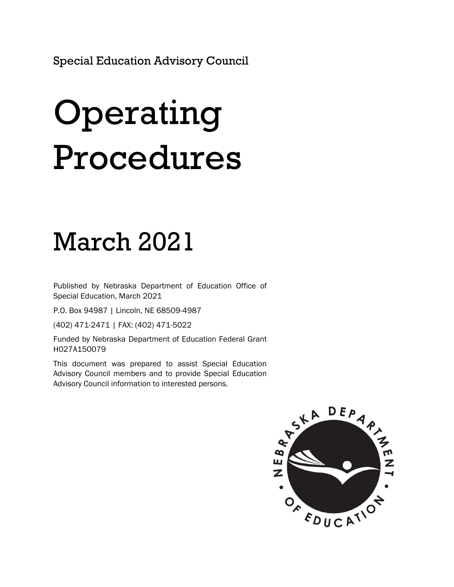Special Education Advisory Council

# Operating Procedures

# March 2021

Published by Nebraska Department of Education Office of Special Education, March 2021

P.O. Box 94987 | Lincoln, NE 68509-4987

(402) 471-2471 | FAX: (402) 471-5022

Funded by Nebraska Department of Education Federal Grant H027A150079

This document was prepared to assist Special Education Advisory Council members and to provide Special Education Advisory Council information to interested persons.

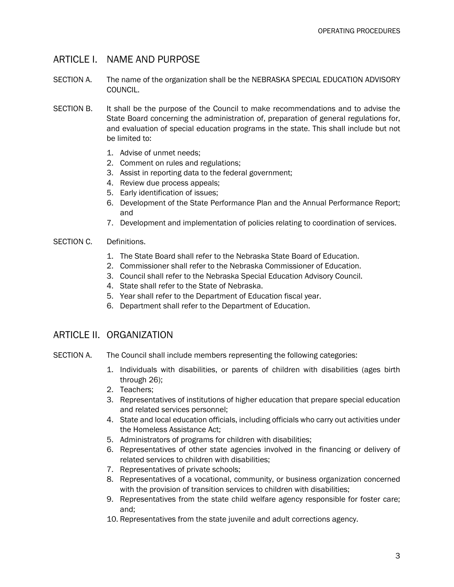### ARTICLE I. NAME AND PURPOSE

- SECTION A. The name of the organization shall be the NEBRASKA SPECIAL EDUCATION ADVISORY COUNCIL.
- SECTION B. It shall be the purpose of the Council to make recommendations and to advise the State Board concerning the administration of, preparation of general regulations for, and evaluation of special education programs in the state. This shall include but not be limited to:
	- 1. Advise of unmet needs;
	- 2. Comment on rules and regulations;
	- 3. Assist in reporting data to the federal government;
	- 4. Review due process appeals;
	- 5. Early identification of issues;
	- 6. Development of the State Performance Plan and the Annual Performance Report; and
	- 7. Development and implementation of policies relating to coordination of services.

#### SECTION C. Definitions.

- 1. The State Board shall refer to the Nebraska State Board of Education.
- 2. Commissioner shall refer to the Nebraska Commissioner of Education.
- 3. Council shall refer to the Nebraska Special Education Advisory Council.
- 4. State shall refer to the State of Nebraska.
- 5. Year shall refer to the Department of Education fiscal year.
- 6. Department shall refer to the Department of Education.

# ARTICLE II. ORGANIZATION

- SECTION A. The Council shall include members representing the following categories:
	- 1. Individuals with disabilities, or parents of children with disabilities (ages birth through 26);
	- 2. Teachers;
	- 3. Representatives of institutions of higher education that prepare special education and related services personnel;
	- 4. State and local education officials, including officials who carry out activities under the Homeless Assistance Act;
	- 5. Administrators of programs for children with disabilities;
	- 6. Representatives of other state agencies involved in the financing or delivery of related services to children with disabilities;
	- 7. Representatives of private schools;
	- 8. Representatives of a vocational, community, or business organization concerned with the provision of transition services to children with disabilities;
	- 9. Representatives from the state child welfare agency responsible for foster care; and;
	- 10. Representatives from the state juvenile and adult corrections agency.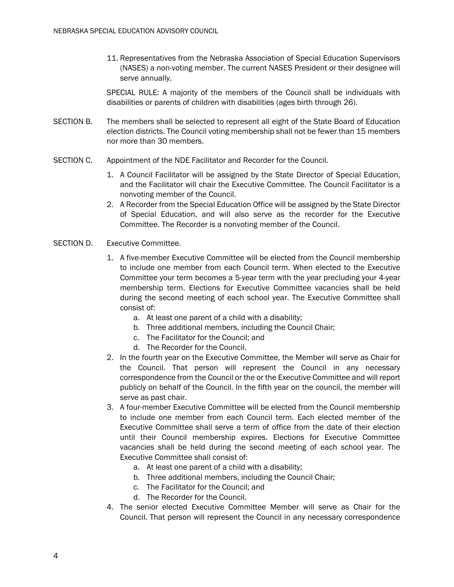11. Representatives from the Nebraska Association of Special Education Supervisors (NASES) a non-voting member. The current NASES President or their designee will serve annually.

SPECIAL RULE: A majority of the members of the Council shall be individuals with disabilities or parents of children with disabilities (ages birth through 26).

- SECTION B. The members shall be selected to represent all eight of the State Board of Education election districts. The Council voting membership shall not be fewer than 15 members nor more than 30 members.
- SECTION C. Appointment of the NDE Facilitator and Recorder for the Council.
	- 1. A Council Facilitator will be assigned by the State Director of Special Education, and the Facilitator will chair the Executive Committee. The Council Facilitator is a nonvoting member of the Council.
	- 2. A Recorder from the Special Education Office will be assigned by the State Director of Special Education, and will also serve as the recorder for the Executive Committee. The Recorder is a nonvoting member of the Council.
- SECTION D. Executive Committee.
	- 1. A five-member Executive Committee will be elected from the Council membership to include one member from each Council term. When elected to the Executive Committee your term becomes a 5-year term with the year precluding your 4-year membership term. Elections for Executive Committee vacancies shall be held during the second meeting of each school year. The Executive Committee shall consist of:
		- a. At least one parent of a child with a disability;
		- b. Three additional members, including the Council Chair;
		- c. The Facilitator for the Council; and
		- d. The Recorder for the Council.
	- 2. In the fourth year on the Executive Committee, the Member will serve as Chair for the Council. That person will represent the Council in any necessary correspondence from the Council or the or the Executive Committee and will report publicly on behalf of the Council. In the fifth year on the council, the member will serve as past chair.
	- 3. A four-member Executive Committee will be elected from the Council membership to include one member from each Council term. Each elected member of the Executive Committee shall serve a term of office from the date of their election until their Council membership expires. Elections for Executive Committee vacancies shall be held during the second meeting of each school year. The Executive Committee shall consist of:
		- a. At least one parent of a child with a disability;
		- b. Three additional members, including the Council Chair;
		- c. The Facilitator for the Council; and
		- d. The Recorder for the Council.
	- 4. The senior elected Executive Committee Member will serve as Chair for the Council. That person will represent the Council in any necessary correspondence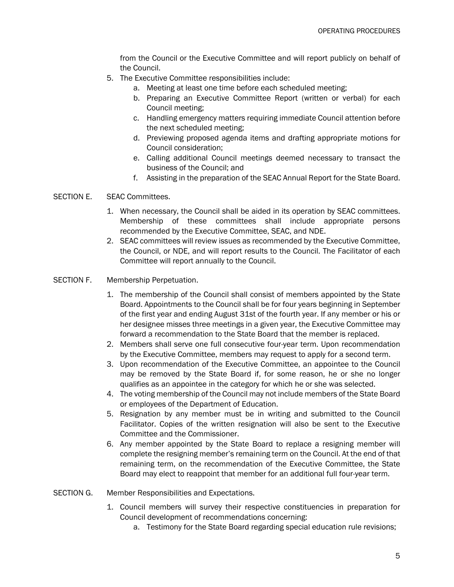from the Council or the Executive Committee and will report publicly on behalf of the Council.

- 5. The Executive Committee responsibilities include:
	- a. Meeting at least one time before each scheduled meeting;
	- b. Preparing an Executive Committee Report (written or verbal) for each Council meeting;
	- c. Handling emergency matters requiring immediate Council attention before the next scheduled meeting;
	- d. Previewing proposed agenda items and drafting appropriate motions for Council consideration;
	- e. Calling additional Council meetings deemed necessary to transact the business of the Council; and
	- f. Assisting in the preparation of the SEAC Annual Report for the State Board.

#### SECTION E. SEAC Committees.

- 1. When necessary, the Council shall be aided in its operation by SEAC committees. Membership of these committees shall include appropriate persons recommended by the Executive Committee, SEAC, and NDE.
- 2. SEAC committees will review issues as recommended by the Executive Committee, the Council, or NDE, and will report results to the Council. The Facilitator of each Committee will report annually to the Council.

#### SECTION F. Membership Perpetuation.

- 1. The membership of the Council shall consist of members appointed by the State Board. Appointments to the Council shall be for four years beginning in September of the first year and ending August 31st of the fourth year. If any member or his or her designee misses three meetings in a given year, the Executive Committee may forward a recommendation to the State Board that the member is replaced.
- 2. Members shall serve one full consecutive four-year term. Upon recommendation by the Executive Committee, members may request to apply for a second term.
- 3. Upon recommendation of the Executive Committee, an appointee to the Council may be removed by the State Board if, for some reason, he or she no longer qualifies as an appointee in the category for which he or she was selected.
- 4. The voting membership of the Council may not include members of the State Board or employees of the Department of Education.
- 5. Resignation by any member must be in writing and submitted to the Council Facilitator. Copies of the written resignation will also be sent to the Executive Committee and the Commissioner.
- 6. Any member appointed by the State Board to replace a resigning member will complete the resigning member's remaining term on the Council. At the end of that remaining term, on the recommendation of the Executive Committee, the State Board may elect to reappoint that member for an additional full four-year term.
- SECTION G. Member Responsibilities and Expectations.
	- 1. Council members will survey their respective constituencies in preparation for Council development of recommendations concerning:
		- a. Testimony for the State Board regarding special education rule revisions;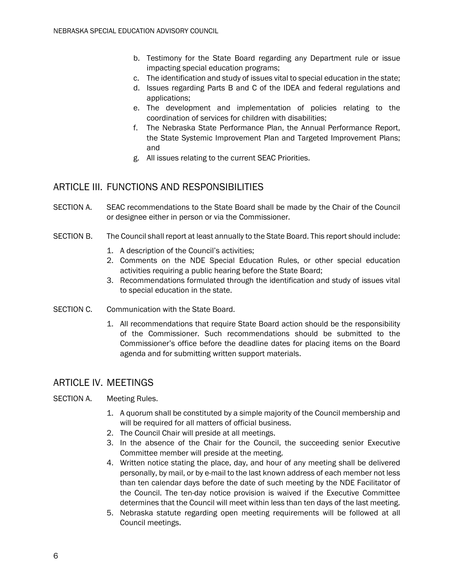- b. Testimony for the State Board regarding any Department rule or issue impacting special education programs;
- c. The identification and study of issues vital to special education in the state;
- d. Issues regarding Parts B and C of the IDEA and federal regulations and applications;
- e. The development and implementation of policies relating to the coordination of services for children with disabilities;
- f. The Nebraska State Performance Plan, the Annual Performance Report, the State Systemic Improvement Plan and Targeted Improvement Plans; and
- g. All issues relating to the current SEAC Priorities.

# ARTICLE III. FUNCTIONS AND RESPONSIBILITIES

- SECTION A. SEAC recommendations to the State Board shall be made by the Chair of the Council or designee either in person or via the Commissioner.
- SECTION B. The Council shall report at least annually to the State Board. This report should include:
	- 1. A description of the Council's activities;
	- 2. Comments on the NDE Special Education Rules, or other special education activities requiring a public hearing before the State Board;
	- 3. Recommendations formulated through the identification and study of issues vital to special education in the state.
- SECTION C. Communication with the State Board.
	- 1. All recommendations that require State Board action should be the responsibility of the Commissioner. Such recommendations should be submitted to the Commissioner's office before the deadline dates for placing items on the Board agenda and for submitting written support materials.

# ARTICLE IV. MEETINGS

- SECTION A. Meeting Rules.
	- 1. A quorum shall be constituted by a simple majority of the Council membership and will be required for all matters of official business.
	- 2. The Council Chair will preside at all meetings.
	- 3. In the absence of the Chair for the Council, the succeeding senior Executive Committee member will preside at the meeting.
	- 4. Written notice stating the place, day, and hour of any meeting shall be delivered personally, by mail, or by e-mail to the last known address of each member not less than ten calendar days before the date of such meeting by the NDE Facilitator of the Council. The ten-day notice provision is waived if the Executive Committee determines that the Council will meet within less than ten days of the last meeting.
	- 5. Nebraska statute regarding open meeting requirements will be followed at all Council meetings.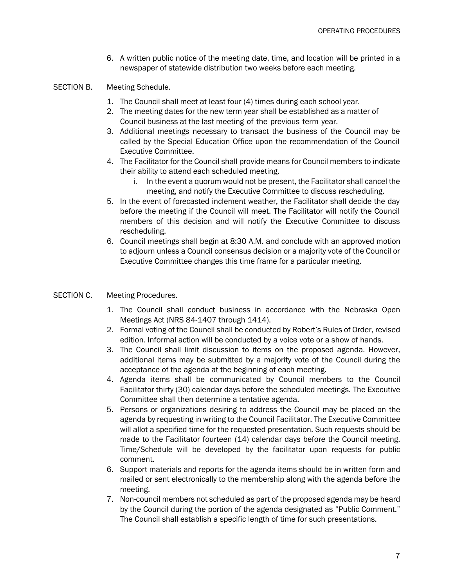6. A written public notice of the meeting date, time, and location will be printed in a newspaper of statewide distribution two weeks before each meeting.

#### SECTION B. Meeting Schedule.

- 1. The Council shall meet at least four (4) times during each school year.
- 2. The meeting dates for the new term year shall be established as a matter of Council business at the last meeting of the previous term year.
- 3. Additional meetings necessary to transact the business of the Council may be called by the Special Education Office upon the recommendation of the Council Executive Committee.
- 4. The Facilitator for the Council shall provide means for Council members to indicate their ability to attend each scheduled meeting.
	- i. In the event a quorum would not be present, the Facilitator shall cancel the meeting, and notify the Executive Committee to discuss rescheduling.
- 5. In the event of forecasted inclement weather, the Facilitator shall decide the day before the meeting if the Council will meet. The Facilitator will notify the Council members of this decision and will notify the Executive Committee to discuss rescheduling.
- 6. Council meetings shall begin at 8:30 A.M. and conclude with an approved motion to adjourn unless a Council consensus decision or a majority vote of the Council or Executive Committee changes this time frame for a particular meeting.

#### SECTION C. Meeting Procedures.

- 1. The Council shall conduct business in accordance with the Nebraska Open Meetings Act (NRS 84-1407 through 1414).
- 2. Formal voting of the Council shall be conducted by Robert's Rules of Order, revised edition. Informal action will be conducted by a voice vote or a show of hands.
- 3. The Council shall limit discussion to items on the proposed agenda. However, additional items may be submitted by a majority vote of the Council during the acceptance of the agenda at the beginning of each meeting.
- 4. Agenda items shall be communicated by Council members to the Council Facilitator thirty (30) calendar days before the scheduled meetings. The Executive Committee shall then determine a tentative agenda.
- 5. Persons or organizations desiring to address the Council may be placed on the agenda by requesting in writing to the Council Facilitator. The Executive Committee will allot a specified time for the requested presentation. Such requests should be made to the Facilitator fourteen (14) calendar days before the Council meeting. Time/Schedule will be developed by the facilitator upon requests for public comment.
- 6. Support materials and reports for the agenda items should be in written form and mailed or sent electronically to the membership along with the agenda before the meeting.
- 7. Non-council members not scheduled as part of the proposed agenda may be heard by the Council during the portion of the agenda designated as "Public Comment." The Council shall establish a specific length of time for such presentations.